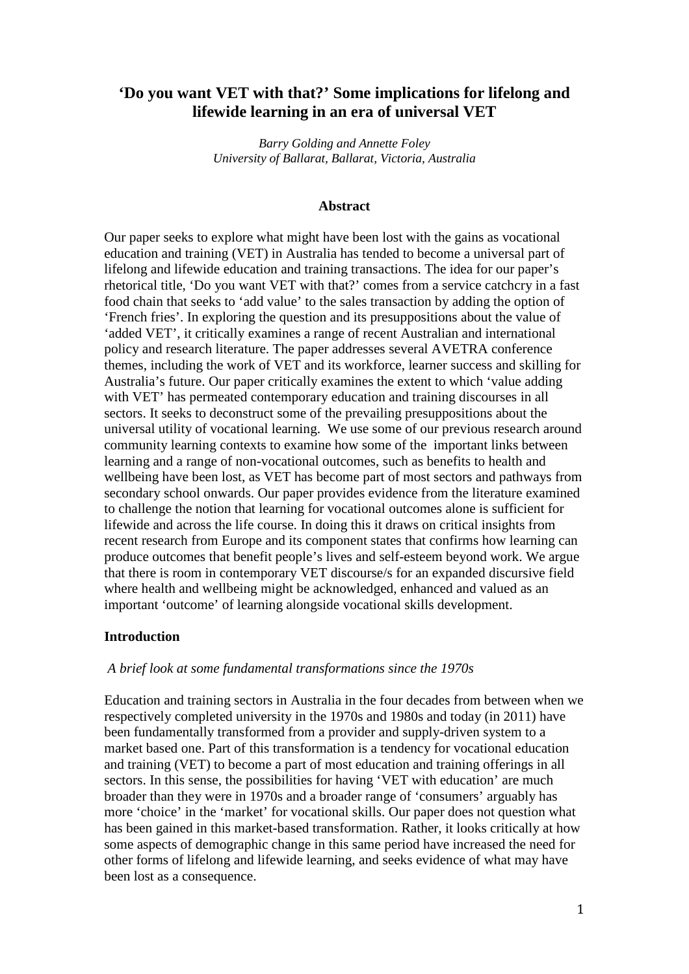# **'Do you want VET with that?' Some implications for lifelong and lifewide learning in an era of universal VET**

*Barry Golding and Annette Foley University of Ballarat, Ballarat, Victoria, Australia* 

#### **Abstract**

Our paper seeks to explore what might have been lost with the gains as vocational education and training (VET) in Australia has tended to become a universal part of lifelong and lifewide education and training transactions. The idea for our paper's rhetorical title, 'Do you want VET with that?' comes from a service catchcry in a fast food chain that seeks to 'add value' to the sales transaction by adding the option of 'French fries'. In exploring the question and its presuppositions about the value of 'added VET', it critically examines a range of recent Australian and international policy and research literature. The paper addresses several AVETRA conference themes, including the work of VET and its workforce, learner success and skilling for Australia's future. Our paper critically examines the extent to which 'value adding with VET' has permeated contemporary education and training discourses in all sectors. It seeks to deconstruct some of the prevailing presuppositions about the universal utility of vocational learning. We use some of our previous research around community learning contexts to examine how some of the important links between learning and a range of non-vocational outcomes, such as benefits to health and wellbeing have been lost, as VET has become part of most sectors and pathways from secondary school onwards. Our paper provides evidence from the literature examined to challenge the notion that learning for vocational outcomes alone is sufficient for lifewide and across the life course. In doing this it draws on critical insights from recent research from Europe and its component states that confirms how learning can produce outcomes that benefit people's lives and self-esteem beyond work. We argue that there is room in contemporary VET discourse/s for an expanded discursive field where health and wellbeing might be acknowledged, enhanced and valued as an important 'outcome' of learning alongside vocational skills development.

#### **Introduction**

#### *A brief look at some fundamental transformations since the 1970s*

Education and training sectors in Australia in the four decades from between when we respectively completed university in the 1970s and 1980s and today (in 2011) have been fundamentally transformed from a provider and supply-driven system to a market based one. Part of this transformation is a tendency for vocational education and training (VET) to become a part of most education and training offerings in all sectors. In this sense, the possibilities for having 'VET with education' are much broader than they were in 1970s and a broader range of 'consumers' arguably has more 'choice' in the 'market' for vocational skills. Our paper does not question what has been gained in this market-based transformation. Rather, it looks critically at how some aspects of demographic change in this same period have increased the need for other forms of lifelong and lifewide learning, and seeks evidence of what may have been lost as a consequence.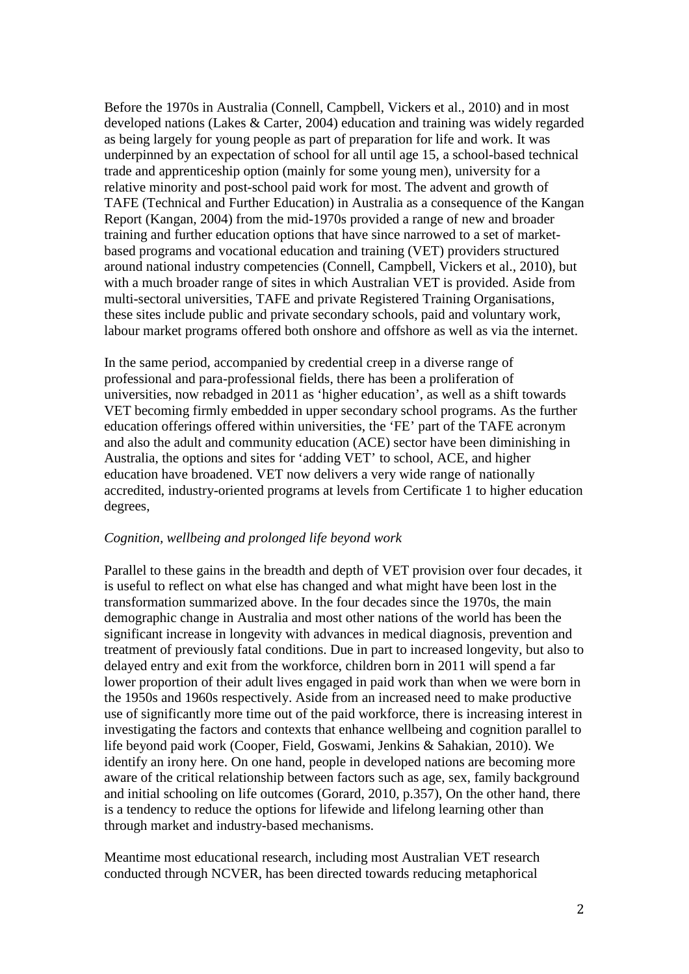Before the 1970s in Australia (Connell, Campbell, Vickers et al., 2010) and in most developed nations (Lakes & Carter, 2004) education and training was widely regarded as being largely for young people as part of preparation for life and work. It was underpinned by an expectation of school for all until age 15, a school-based technical trade and apprenticeship option (mainly for some young men), university for a relative minority and post-school paid work for most. The advent and growth of TAFE (Technical and Further Education) in Australia as a consequence of the Kangan Report (Kangan, 2004) from the mid-1970s provided a range of new and broader training and further education options that have since narrowed to a set of marketbased programs and vocational education and training (VET) providers structured around national industry competencies (Connell, Campbell, Vickers et al., 2010), but with a much broader range of sites in which Australian VET is provided. Aside from multi-sectoral universities, TAFE and private Registered Training Organisations, these sites include public and private secondary schools, paid and voluntary work, labour market programs offered both onshore and offshore as well as via the internet.

In the same period, accompanied by credential creep in a diverse range of professional and para-professional fields, there has been a proliferation of universities, now rebadged in 2011 as 'higher education', as well as a shift towards VET becoming firmly embedded in upper secondary school programs. As the further education offerings offered within universities, the 'FE' part of the TAFE acronym and also the adult and community education (ACE) sector have been diminishing in Australia, the options and sites for 'adding VET' to school, ACE, and higher education have broadened. VET now delivers a very wide range of nationally accredited, industry-oriented programs at levels from Certificate 1 to higher education degrees,

#### *Cognition, wellbeing and prolonged life beyond work*

Parallel to these gains in the breadth and depth of VET provision over four decades, it is useful to reflect on what else has changed and what might have been lost in the transformation summarized above. In the four decades since the 1970s, the main demographic change in Australia and most other nations of the world has been the significant increase in longevity with advances in medical diagnosis, prevention and treatment of previously fatal conditions. Due in part to increased longevity, but also to delayed entry and exit from the workforce, children born in 2011 will spend a far lower proportion of their adult lives engaged in paid work than when we were born in the 1950s and 1960s respectively. Aside from an increased need to make productive use of significantly more time out of the paid workforce, there is increasing interest in investigating the factors and contexts that enhance wellbeing and cognition parallel to life beyond paid work (Cooper, Field, Goswami, Jenkins & Sahakian, 2010). We identify an irony here. On one hand, people in developed nations are becoming more aware of the critical relationship between factors such as age, sex, family background and initial schooling on life outcomes (Gorard, 2010, p.357), On the other hand, there is a tendency to reduce the options for lifewide and lifelong learning other than through market and industry-based mechanisms.

Meantime most educational research, including most Australian VET research conducted through NCVER, has been directed towards reducing metaphorical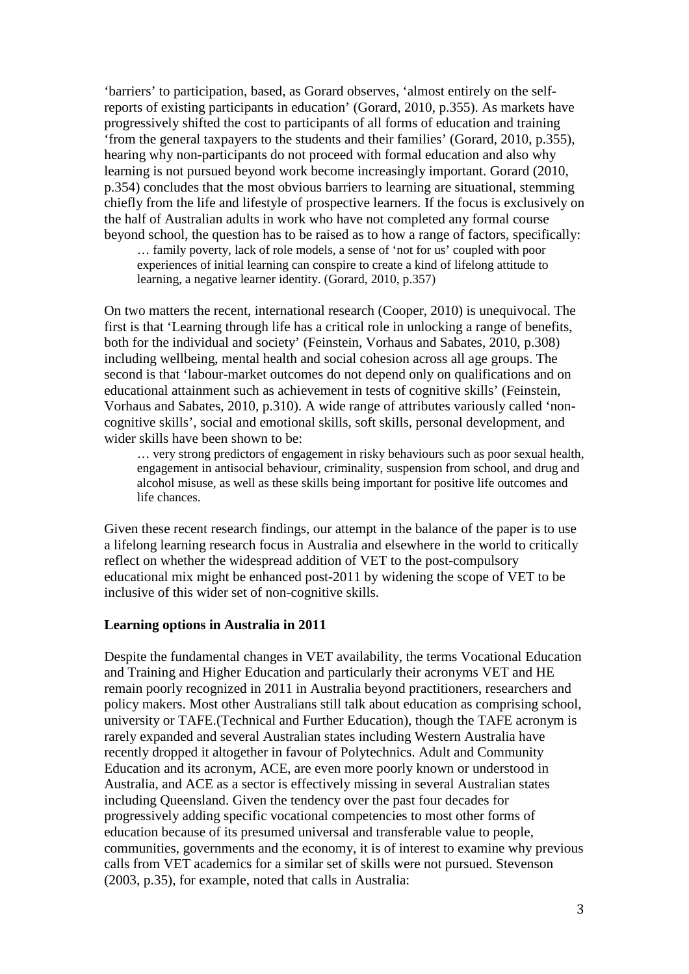'barriers' to participation, based, as Gorard observes, 'almost entirely on the selfreports of existing participants in education' (Gorard, 2010, p.355). As markets have progressively shifted the cost to participants of all forms of education and training 'from the general taxpayers to the students and their families' (Gorard, 2010, p.355), hearing why non-participants do not proceed with formal education and also why learning is not pursued beyond work become increasingly important. Gorard (2010, p.354) concludes that the most obvious barriers to learning are situational, stemming chiefly from the life and lifestyle of prospective learners. If the focus is exclusively on the half of Australian adults in work who have not completed any formal course beyond school, the question has to be raised as to how a range of factors, specifically:

… family poverty, lack of role models, a sense of 'not for us' coupled with poor experiences of initial learning can conspire to create a kind of lifelong attitude to learning, a negative learner identity. (Gorard, 2010, p.357)

On two matters the recent, international research (Cooper, 2010) is unequivocal. The first is that 'Learning through life has a critical role in unlocking a range of benefits, both for the individual and society' (Feinstein, Vorhaus and Sabates, 2010, p.308) including wellbeing, mental health and social cohesion across all age groups. The second is that 'labour-market outcomes do not depend only on qualifications and on educational attainment such as achievement in tests of cognitive skills' (Feinstein, Vorhaus and Sabates, 2010, p.310). A wide range of attributes variously called 'noncognitive skills', social and emotional skills, soft skills, personal development, and wider skills have been shown to be:

… very strong predictors of engagement in risky behaviours such as poor sexual health, engagement in antisocial behaviour, criminality, suspension from school, and drug and alcohol misuse, as well as these skills being important for positive life outcomes and life chances.

Given these recent research findings, our attempt in the balance of the paper is to use a lifelong learning research focus in Australia and elsewhere in the world to critically reflect on whether the widespread addition of VET to the post-compulsory educational mix might be enhanced post-2011 by widening the scope of VET to be inclusive of this wider set of non-cognitive skills.

#### **Learning options in Australia in 2011**

Despite the fundamental changes in VET availability, the terms Vocational Education and Training and Higher Education and particularly their acronyms VET and HE remain poorly recognized in 2011 in Australia beyond practitioners, researchers and policy makers. Most other Australians still talk about education as comprising school, university or TAFE.(Technical and Further Education), though the TAFE acronym is rarely expanded and several Australian states including Western Australia have recently dropped it altogether in favour of Polytechnics. Adult and Community Education and its acronym, ACE, are even more poorly known or understood in Australia, and ACE as a sector is effectively missing in several Australian states including Queensland. Given the tendency over the past four decades for progressively adding specific vocational competencies to most other forms of education because of its presumed universal and transferable value to people, communities, governments and the economy, it is of interest to examine why previous calls from VET academics for a similar set of skills were not pursued. Stevenson (2003, p.35), for example, noted that calls in Australia: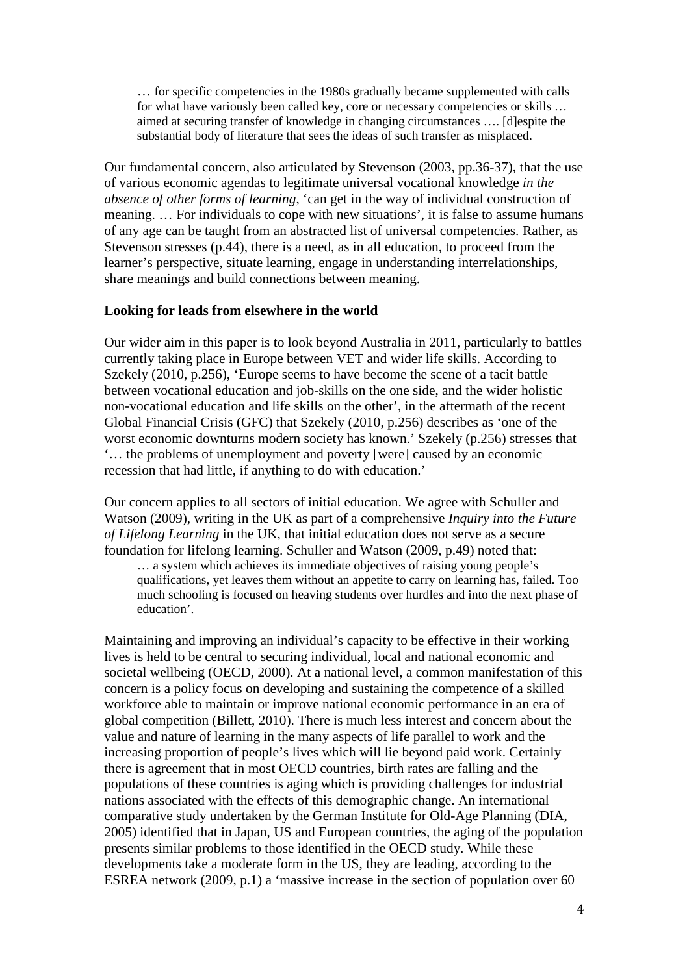… for specific competencies in the 1980s gradually became supplemented with calls for what have variously been called key, core or necessary competencies or skills … aimed at securing transfer of knowledge in changing circumstances …. [d]espite the substantial body of literature that sees the ideas of such transfer as misplaced.

Our fundamental concern, also articulated by Stevenson (2003, pp.36-37), that the use of various economic agendas to legitimate universal vocational knowledge *in the absence of other forms of learning*, 'can get in the way of individual construction of meaning. … For individuals to cope with new situations', it is false to assume humans of any age can be taught from an abstracted list of universal competencies. Rather, as Stevenson stresses (p.44), there is a need, as in all education, to proceed from the learner's perspective, situate learning, engage in understanding interrelationships, share meanings and build connections between meaning.

### **Looking for leads from elsewhere in the world**

Our wider aim in this paper is to look beyond Australia in 2011, particularly to battles currently taking place in Europe between VET and wider life skills. According to Szekely (2010, p.256), 'Europe seems to have become the scene of a tacit battle between vocational education and job-skills on the one side, and the wider holistic non-vocational education and life skills on the other', in the aftermath of the recent Global Financial Crisis (GFC) that Szekely (2010, p.256) describes as 'one of the worst economic downturns modern society has known.' Szekely (p.256) stresses that '… the problems of unemployment and poverty [were] caused by an economic recession that had little, if anything to do with education.'

Our concern applies to all sectors of initial education. We agree with Schuller and Watson (2009), writing in the UK as part of a comprehensive *Inquiry into the Future of Lifelong Learning* in the UK, that initial education does not serve as a secure foundation for lifelong learning. Schuller and Watson (2009, p.49) noted that:

… a system which achieves its immediate objectives of raising young people's qualifications, yet leaves them without an appetite to carry on learning has, failed. Too much schooling is focused on heaving students over hurdles and into the next phase of education'.

Maintaining and improving an individual's capacity to be effective in their working lives is held to be central to securing individual, local and national economic and societal wellbeing (OECD, 2000). At a national level, a common manifestation of this concern is a policy focus on developing and sustaining the competence of a skilled workforce able to maintain or improve national economic performance in an era of global competition (Billett, 2010). There is much less interest and concern about the value and nature of learning in the many aspects of life parallel to work and the increasing proportion of people's lives which will lie beyond paid work. Certainly there is agreement that in most OECD countries, birth rates are falling and the populations of these countries is aging which is providing challenges for industrial nations associated with the effects of this demographic change. An international comparative study undertaken by the German Institute for Old-Age Planning (DIA, 2005) identified that in Japan, US and European countries, the aging of the population presents similar problems to those identified in the OECD study. While these developments take a moderate form in the US, they are leading, according to the ESREA network (2009, p.1) a 'massive increase in the section of population over 60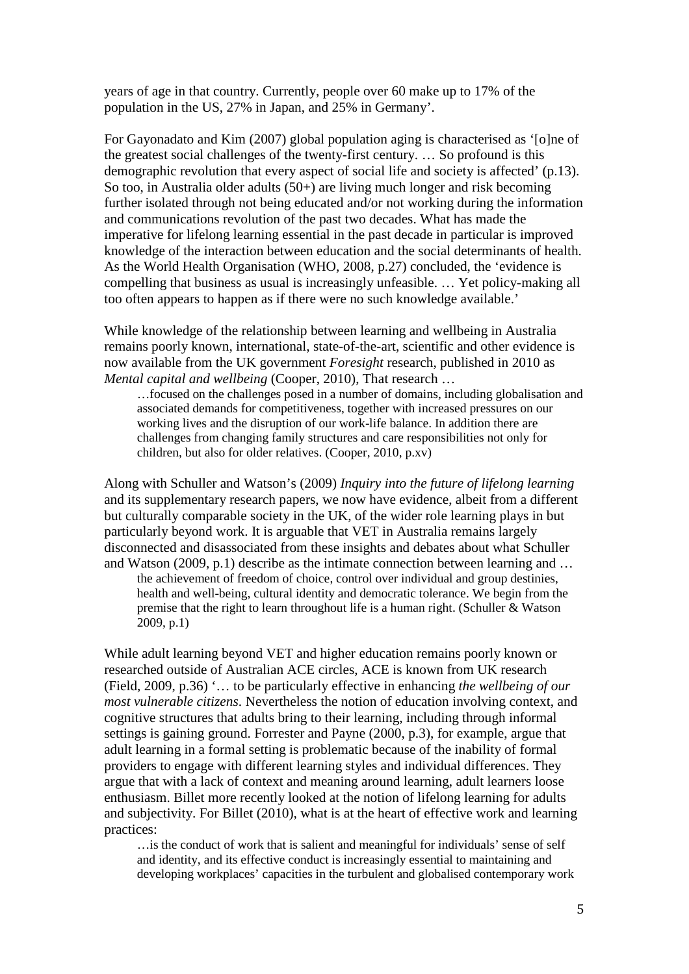years of age in that country. Currently, people over 60 make up to 17% of the population in the US, 27% in Japan, and 25% in Germany'.

For Gayonadato and Kim (2007) global population aging is characterised as '[o]ne of the greatest social challenges of the twenty-first century. … So profound is this demographic revolution that every aspect of social life and society is affected' (p.13). So too, in Australia older adults (50+) are living much longer and risk becoming further isolated through not being educated and/or not working during the information and communications revolution of the past two decades. What has made the imperative for lifelong learning essential in the past decade in particular is improved knowledge of the interaction between education and the social determinants of health. As the World Health Organisation (WHO, 2008, p.27) concluded, the 'evidence is compelling that business as usual is increasingly unfeasible. … Yet policy-making all too often appears to happen as if there were no such knowledge available.'

While knowledge of the relationship between learning and wellbeing in Australia remains poorly known, international, state-of-the-art, scientific and other evidence is now available from the UK government *Foresight* research, published in 2010 as *Mental capital and wellbeing* (Cooper, 2010), That research …

…focused on the challenges posed in a number of domains, including globalisation and associated demands for competitiveness, together with increased pressures on our working lives and the disruption of our work-life balance. In addition there are challenges from changing family structures and care responsibilities not only for children, but also for older relatives. (Cooper, 2010, p.xv)

Along with Schuller and Watson's (2009) *Inquiry into the future of lifelong learning* and its supplementary research papers, we now have evidence, albeit from a different but culturally comparable society in the UK, of the wider role learning plays in but particularly beyond work. It is arguable that VET in Australia remains largely disconnected and disassociated from these insights and debates about what Schuller and Watson (2009, p.1) describe as the intimate connection between learning and …

the achievement of freedom of choice, control over individual and group destinies, health and well-being, cultural identity and democratic tolerance. We begin from the premise that the right to learn throughout life is a human right. (Schuller & Watson 2009, p.1)

While adult learning beyond VET and higher education remains poorly known or researched outside of Australian ACE circles, ACE is known from UK research (Field, 2009, p.36) '… to be particularly effective in enhancing *the wellbeing of our most vulnerable citizens*. Nevertheless the notion of education involving context, and cognitive structures that adults bring to their learning, including through informal settings is gaining ground. Forrester and Payne (2000, p.3), for example, argue that adult learning in a formal setting is problematic because of the inability of formal providers to engage with different learning styles and individual differences. They argue that with a lack of context and meaning around learning, adult learners loose enthusiasm. Billet more recently looked at the notion of lifelong learning for adults and subjectivity. For Billet (2010), what is at the heart of effective work and learning practices:

…is the conduct of work that is salient and meaningful for individuals' sense of self and identity, and its effective conduct is increasingly essential to maintaining and developing workplaces' capacities in the turbulent and globalised contemporary work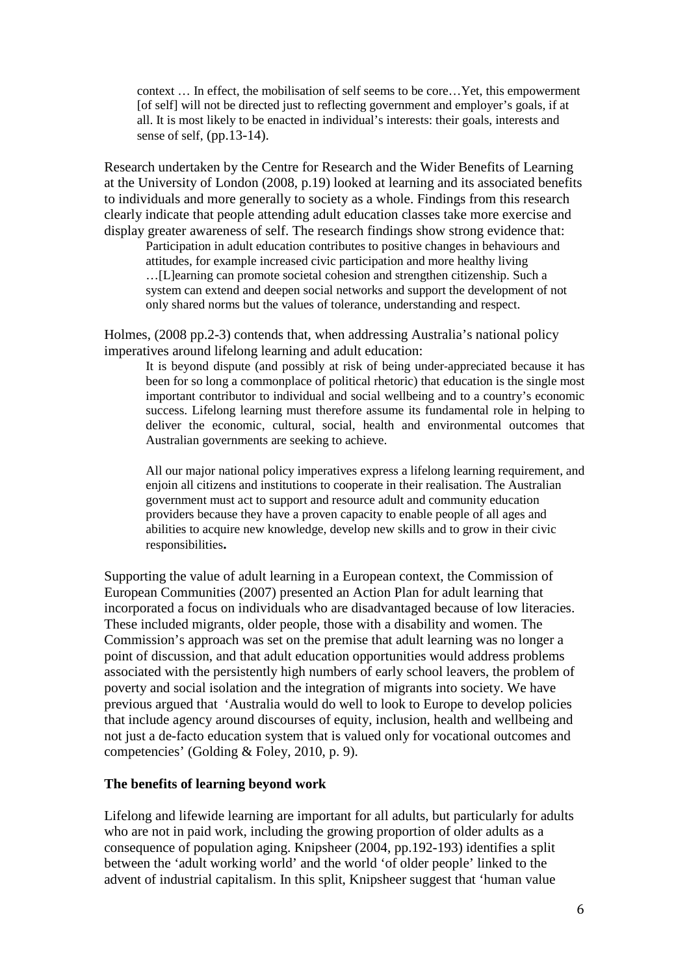context … In effect, the mobilisation of self seems to be core…Yet, this empowerment [of self] will not be directed just to reflecting government and employer's goals, if at all. It is most likely to be enacted in individual's interests: their goals, interests and sense of self, (pp.13-14).

Research undertaken by the Centre for Research and the Wider Benefits of Learning at the University of London (2008, p.19) looked at learning and its associated benefits to individuals and more generally to society as a whole. Findings from this research clearly indicate that people attending adult education classes take more exercise and display greater awareness of self. The research findings show strong evidence that:

Participation in adult education contributes to positive changes in behaviours and attitudes, for example increased civic participation and more healthy living …[L]earning can promote societal cohesion and strengthen citizenship. Such a system can extend and deepen social networks and support the development of not only shared norms but the values of tolerance, understanding and respect.

Holmes, (2008 pp.2-3) contends that, when addressing Australia's national policy imperatives around lifelong learning and adult education:

It is beyond dispute (and possibly at risk of being under‐appreciated because it has been for so long a commonplace of political rhetoric) that education is the single most important contributor to individual and social wellbeing and to a country's economic success. Lifelong learning must therefore assume its fundamental role in helping to deliver the economic, cultural, social, health and environmental outcomes that Australian governments are seeking to achieve.

All our major national policy imperatives express a lifelong learning requirement, and enjoin all citizens and institutions to cooperate in their realisation. The Australian government must act to support and resource adult and community education providers because they have a proven capacity to enable people of all ages and abilities to acquire new knowledge, develop new skills and to grow in their civic responsibilities**.** 

Supporting the value of adult learning in a European context, the Commission of European Communities (2007) presented an Action Plan for adult learning that incorporated a focus on individuals who are disadvantaged because of low literacies. These included migrants, older people, those with a disability and women. The Commission's approach was set on the premise that adult learning was no longer a point of discussion, and that adult education opportunities would address problems associated with the persistently high numbers of early school leavers, the problem of poverty and social isolation and the integration of migrants into society. We have previous argued that 'Australia would do well to look to Europe to develop policies that include agency around discourses of equity, inclusion, health and wellbeing and not just a de-facto education system that is valued only for vocational outcomes and competencies' (Golding & Foley, 2010, p. 9).

## **The benefits of learning beyond work**

Lifelong and lifewide learning are important for all adults, but particularly for adults who are not in paid work, including the growing proportion of older adults as a consequence of population aging. Knipsheer (2004, pp.192-193) identifies a split between the 'adult working world' and the world 'of older people' linked to the advent of industrial capitalism. In this split, Knipsheer suggest that 'human value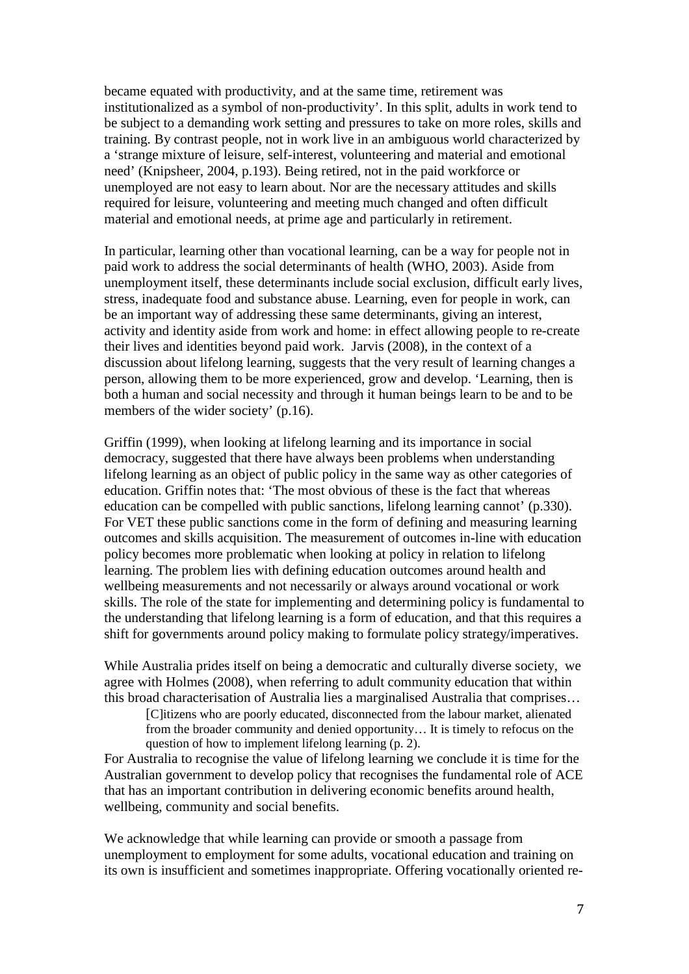became equated with productivity, and at the same time, retirement was institutionalized as a symbol of non-productivity'. In this split, adults in work tend to be subject to a demanding work setting and pressures to take on more roles, skills and training. By contrast people, not in work live in an ambiguous world characterized by a 'strange mixture of leisure, self-interest, volunteering and material and emotional need' (Knipsheer, 2004, p.193). Being retired, not in the paid workforce or unemployed are not easy to learn about. Nor are the necessary attitudes and skills required for leisure, volunteering and meeting much changed and often difficult material and emotional needs, at prime age and particularly in retirement.

In particular, learning other than vocational learning, can be a way for people not in paid work to address the social determinants of health (WHO, 2003). Aside from unemployment itself, these determinants include social exclusion, difficult early lives, stress, inadequate food and substance abuse. Learning, even for people in work, can be an important way of addressing these same determinants, giving an interest, activity and identity aside from work and home: in effect allowing people to re-create their lives and identities beyond paid work. Jarvis (2008), in the context of a discussion about lifelong learning, suggests that the very result of learning changes a person, allowing them to be more experienced, grow and develop. 'Learning, then is both a human and social necessity and through it human beings learn to be and to be members of the wider society' (p.16).

Griffin (1999), when looking at lifelong learning and its importance in social democracy, suggested that there have always been problems when understanding lifelong learning as an object of public policy in the same way as other categories of education. Griffin notes that: 'The most obvious of these is the fact that whereas education can be compelled with public sanctions, lifelong learning cannot' (p.330). For VET these public sanctions come in the form of defining and measuring learning outcomes and skills acquisition. The measurement of outcomes in-line with education policy becomes more problematic when looking at policy in relation to lifelong learning. The problem lies with defining education outcomes around health and wellbeing measurements and not necessarily or always around vocational or work skills. The role of the state for implementing and determining policy is fundamental to the understanding that lifelong learning is a form of education, and that this requires a shift for governments around policy making to formulate policy strategy/imperatives.

While Australia prides itself on being a democratic and culturally diverse society, we agree with Holmes (2008), when referring to adult community education that within this broad characterisation of Australia lies a marginalised Australia that comprises…

[C]itizens who are poorly educated, disconnected from the labour market, alienated from the broader community and denied opportunity… It is timely to refocus on the question of how to implement lifelong learning (p. 2).

For Australia to recognise the value of lifelong learning we conclude it is time for the Australian government to develop policy that recognises the fundamental role of ACE that has an important contribution in delivering economic benefits around health, wellbeing, community and social benefits.

We acknowledge that while learning can provide or smooth a passage from unemployment to employment for some adults, vocational education and training on its own is insufficient and sometimes inappropriate. Offering vocationally oriented re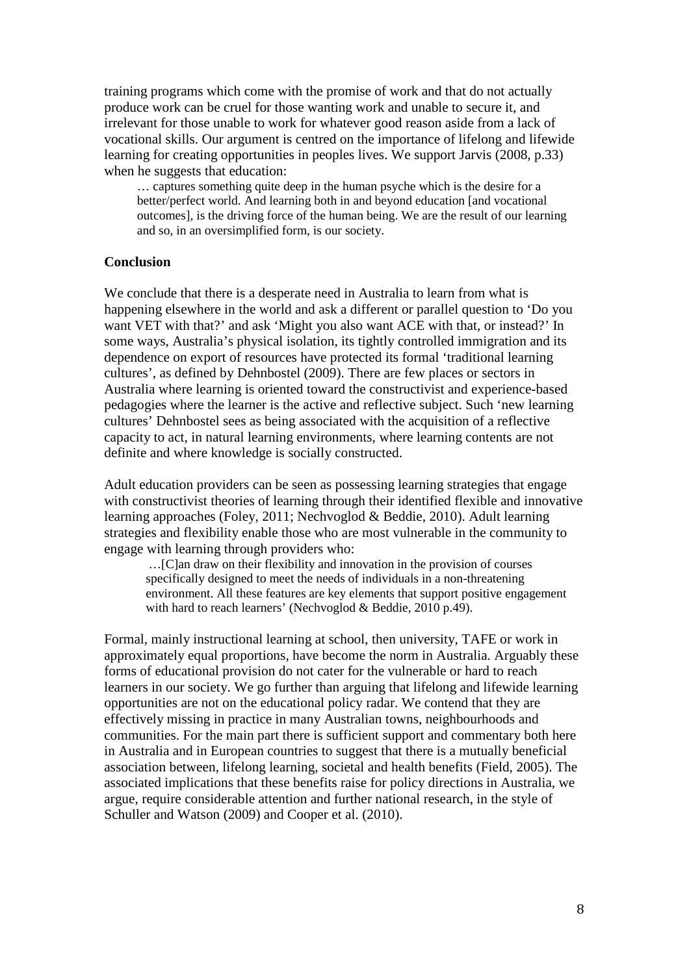training programs which come with the promise of work and that do not actually produce work can be cruel for those wanting work and unable to secure it, and irrelevant for those unable to work for whatever good reason aside from a lack of vocational skills. Our argument is centred on the importance of lifelong and lifewide learning for creating opportunities in peoples lives. We support Jarvis (2008, p.33) when he suggests that education:

… captures something quite deep in the human psyche which is the desire for a better/perfect world. And learning both in and beyond education [and vocational outcomes], is the driving force of the human being. We are the result of our learning and so, in an oversimplified form, is our society.

## **Conclusion**

We conclude that there is a desperate need in Australia to learn from what is happening elsewhere in the world and ask a different or parallel question to 'Do you want VET with that?' and ask 'Might you also want ACE with that, or instead?' In some ways, Australia's physical isolation, its tightly controlled immigration and its dependence on export of resources have protected its formal 'traditional learning cultures', as defined by Dehnbostel (2009). There are few places or sectors in Australia where learning is oriented toward the constructivist and experience-based pedagogies where the learner is the active and reflective subject. Such 'new learning cultures' Dehnbostel sees as being associated with the acquisition of a reflective capacity to act, in natural learning environments, where learning contents are not definite and where knowledge is socially constructed.

Adult education providers can be seen as possessing learning strategies that engage with constructivist theories of learning through their identified flexible and innovative learning approaches (Foley, 2011; Nechvoglod & Beddie, 2010). Adult learning strategies and flexibility enable those who are most vulnerable in the community to engage with learning through providers who:

…[C]an draw on their flexibility and innovation in the provision of courses specifically designed to meet the needs of individuals in a non-threatening environment. All these features are key elements that support positive engagement with hard to reach learners' (Nechvoglod & Beddie, 2010 p.49).

Formal, mainly instructional learning at school, then university, TAFE or work in approximately equal proportions, have become the norm in Australia. Arguably these forms of educational provision do not cater for the vulnerable or hard to reach learners in our society. We go further than arguing that lifelong and lifewide learning opportunities are not on the educational policy radar. We contend that they are effectively missing in practice in many Australian towns, neighbourhoods and communities. For the main part there is sufficient support and commentary both here in Australia and in European countries to suggest that there is a mutually beneficial association between, lifelong learning, societal and health benefits (Field, 2005). The associated implications that these benefits raise for policy directions in Australia, we argue, require considerable attention and further national research, in the style of Schuller and Watson (2009) and Cooper et al. (2010).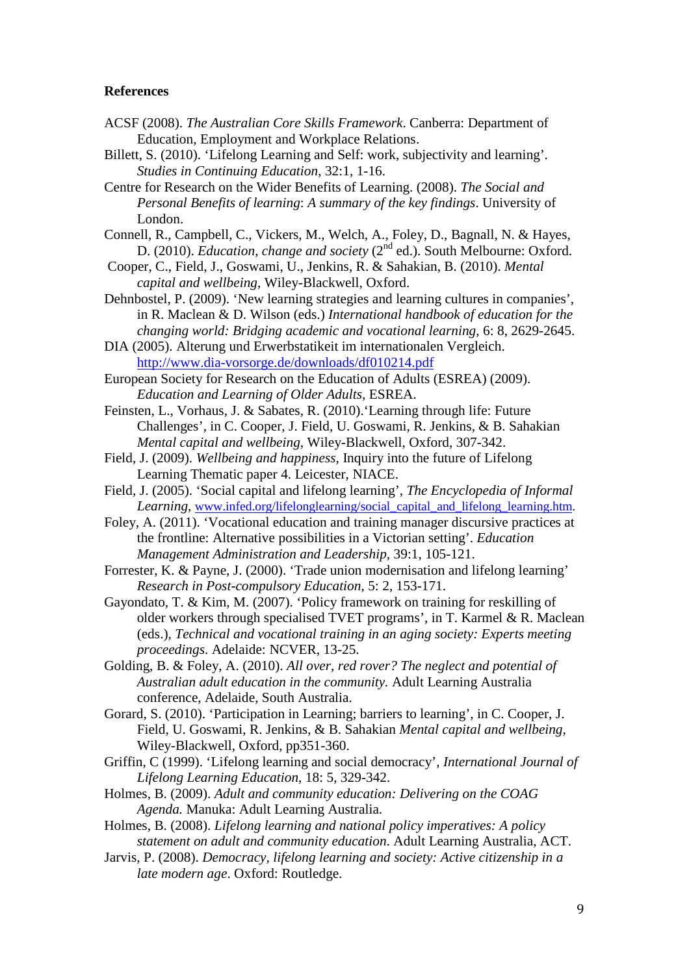#### **References**

- ACSF (2008). *The Australian Core Skills Framework*. Canberra: Department of Education, Employment and Workplace Relations.
- Billett, S. (2010). 'Lifelong Learning and Self: work, subjectivity and learning'*. Studies in Continuing Education*, 32:1, 1-16.
- Centre for Research on the Wider Benefits of Learning. (2008). *The Social and Personal Benefits of learning*: *A summary of the key findings*. University of London.
- Connell, R., Campbell, C., Vickers, M., Welch, A., Foley, D., Bagnall, N. & Hayes, D. (2010). *Education, change and society* (2<sup>nd</sup> ed.). South Melbourne: Oxford.
- Cooper, C., Field, J., Goswami, U., Jenkins, R. & Sahakian, B. (2010). *Mental capital and wellbeing*, Wiley-Blackwell, Oxford.
- Dehnbostel, P. (2009). 'New learning strategies and learning cultures in companies', in R. Maclean & D. Wilson (eds.) *International handbook of education for the changing world: Bridging academic and vocational learning,* 6: 8, 2629-2645.
- DIA (2005). Alterung und Erwerbstatikeit im internationalen Vergleich. http://www.dia-vorsorge.de/downloads/df010214.pdf

European Society for Research on the Education of Adults (ESREA) (2009). *Education and Learning of Older Adults,* ESREA.

- Feinsten, L., Vorhaus, J. & Sabates, R. (2010).'Learning through life: Future Challenges', in C. Cooper, J. Field, U. Goswami, R. Jenkins, & B. Sahakian *Mental capital and wellbeing*, Wiley-Blackwell, Oxford, 307-342.
- Field, J. (2009). *Wellbeing and happiness*, Inquiry into the future of Lifelong Learning Thematic paper 4. Leicester, NIACE.
- Field, J. (2005). 'Social capital and lifelong learning', *The Encyclopedia of Informal Learning*, www.infed.org/lifelonglearning/social\_capital\_and\_lifelong\_learning.htm.
- Foley, A. (2011). 'Vocational education and training manager discursive practices at the frontline: Alternative possibilities in a Victorian setting'. *Education Management Administration and Leadership,* 39:1, 105-121.
- Forrester, K. & Payne, J. (2000). 'Trade union modernisation and lifelong learning' *Research in Post-compulsory Education*, 5: 2, 153-171.
- Gayondato, T. & Kim, M. (2007). 'Policy framework on training for reskilling of older workers through specialised TVET programs', in T. Karmel & R. Maclean (eds.), *Technical and vocational training in an aging society: Experts meeting proceedings*. Adelaide: NCVER, 13-25.
- Golding, B. & Foley, A. (2010). *All over, red rover? The neglect and potential of Australian adult education in the community.* Adult Learning Australia conference, Adelaide, South Australia.

Gorard, S. (2010). 'Participation in Learning; barriers to learning', in C. Cooper, J. Field, U. Goswami, R. Jenkins, & B. Sahakian *Mental capital and wellbeing*, Wiley-Blackwell, Oxford, pp351-360.

- Griffin, C (1999). 'Lifelong learning and social democracy', *International Journal of Lifelong Learning Education*, 18: 5, 329-342.
- Holmes, B. (2009). *Adult and community education: Delivering on the COAG Agenda.* Manuka: Adult Learning Australia.

Holmes, B. (2008). *Lifelong learning and national policy imperatives: A policy statement on adult and community education*. Adult Learning Australia, ACT.

Jarvis, P. (2008). *Democracy, lifelong learning and society: Active citizenship in a late modern age*. Oxford: Routledge.